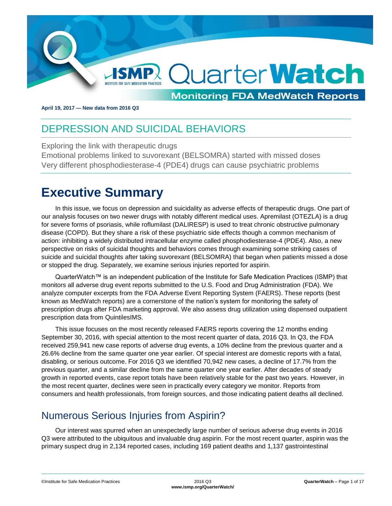

**April 19, 2017 — New data from 2016 Q3**

## <span id="page-0-0"></span>**DEPRESSION AND SUICIDAL BEHAVIORS**

Exploring the link with therapeutic drugs Emotional problems linked to suvorexant (BELSOMRA) started with missed doses Very different phosphodiesterase-4 (PDE4) drugs can cause psychiatric problems

## <span id="page-0-1"></span>**Executive Summary**

In this issue, we focus on depression and suicidality as adverse effects of therapeutic drugs. One part of our analysis focuses on two newer drugs with notably different medical uses. Apremilast (OTEZLA) is a drug for severe forms of psoriasis, while roflumilast (DALIRESP) is used to treat chronic obstructive pulmonary disease (COPD). But they share a risk of these psychiatric side effects though a common mechanism of action: inhibiting a widely distributed intracellular enzyme called phosphodiesterase-4 (PDE4). Also, a new perspective on risks of suicidal thoughts and behaviors comes through examining some striking cases of suicide and suicidal thoughts after taking suvorexant (BELSOMRA) that began when patients missed a dose or stopped the drug. Separately, we examine serious injuries reported for aspirin.

QuarterWatch™ is an independent publication of the Institute for Safe Medication Practices (ISMP) that monitors all adverse drug event reports submitted to the U.S. Food and Drug Administration (FDA). We analyze computer excerpts from the FDA Adverse Event Reporting System (FAERS). These reports (best known as MedWatch reports) are a cornerstone of the nation's system for monitoring the safety of prescription drugs after FDA marketing approval. We also assess drug utilization using dispensed outpatient prescription data from QuintilesIMS.

This issue focuses on the most recently released FAERS reports covering the 12 months ending September 30, 2016, with special attention to the most recent quarter of data, 2016 Q3. In Q3, the FDA received 259,941 new case reports of adverse drug events, a 10% decline from the previous quarter and a 26.6% decline from the same quarter one year earlier. Of special interest are domestic reports with a fatal, disabling, or serious outcome. For 2016 Q3 we identified 70,942 new cases, a decline of 17.7% from the previous quarter, and a similar decline from the same quarter one year earlier. After decades of steady growth in reported events, case report totals have been relatively stable for the past two years. However, in the most recent quarter, declines were seen in practically every category we monitor. Reports from consumers and health professionals, from foreign sources, and those indicating patient deaths all declined.

### <span id="page-0-2"></span>Numerous Serious Injuries from Aspirin?

Our interest was spurred when an unexpectedly large number of serious adverse drug events in 2016 Q3 were attributed to the ubiquitous and invaluable drug aspirin. For the most recent quarter, aspirin was the primary suspect drug in 2,134 reported cases, including 169 patient deaths and 1,137 gastrointestinal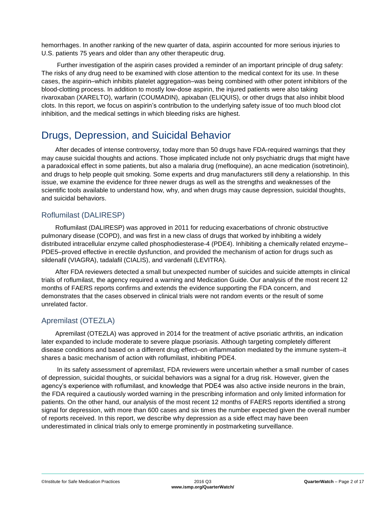hemorrhages. In another ranking of the new quarter of data, aspirin accounted for more serious injuries to U.S. patients 75 years and older than any other therapeutic drug.

Further investigation of the aspirin cases provided a reminder of an important principle of drug safety: The risks of any drug need to be examined with close attention to the medical context for its use. In these cases, the aspirin–which inhibits platelet aggregation–was being combined with other potent inhibitors of the blood-clotting process. In addition to mostly low-dose aspirin, the injured patients were also taking rivaroxaban (XARELTO), warfarin (COUMADIN), apixaban (ELIQUIS), or other drugs that also inhibit blood clots. In this report, we focus on aspirin's contribution to the underlying safety issue of too much blood clot inhibition, and the medical settings in which bleeding risks are highest.

### <span id="page-1-0"></span>Drugs, Depression, and Suicidal Behavior

After decades of intense controversy, today more than 50 drugs have FDA-required warnings that they may cause suicidal thoughts and actions. Those implicated include not only psychiatric drugs that might have a paradoxical effect in some patients, but also a malaria drug (mefloquine), an acne medication (isotretinoin), and drugs to help people quit smoking. Some experts and drug manufacturers still deny a relationship. In this issue, we examine the evidence for three newer drugs as well as the strengths and weaknesses of the scientific tools available to understand how, why, and when drugs may cause depression, suicidal thoughts, and suicidal behaviors.

#### Roflumilast (DALIRESP)

Roflumilast (DALIRESP) was approved in 2011 for reducing exacerbations of chronic obstructive pulmonary disease (COPD), and was first in a new class of drugs that worked by inhibiting a widely distributed intracellular enzyme called phosphodiesterase-4 (PDE4). Inhibiting a chemically related enzyme– PDE5–proved effective in erectile dysfunction, and provided the mechanism of action for drugs such as sildenafil (VIAGRA), tadalafil (CIALIS), and vardenafil (LEVITRA).

After FDA reviewers detected a small but unexpected number of suicides and suicide attempts in clinical trials of roflumilast, the agency required a warning and Medication Guide. Our analysis of the most recent 12 months of FAERS reports confirms and extends the evidence supporting the FDA concern, and demonstrates that the cases observed in clinical trials were not random events or the result of some unrelated factor.

#### Apremilast (OTEZLA)

Apremilast (OTEZLA) was approved in 2014 for the treatment of active psoriatic arthritis, an indication later expanded to include moderate to severe plaque psoriasis. Although targeting completely different disease conditions and based on a different drug effect–on inflammation mediated by the immune system–it shares a basic mechanism of action with roflumilast, inhibiting PDE4.

In its safety assessment of apremilast, FDA reviewers were uncertain whether a small number of cases of depression, suicidal thoughts, or suicidal behaviors was a signal for a drug risk. However, given the agency's experience with roflumilast, and knowledge that PDE4 was also active inside neurons in the brain, the FDA required a cautiously worded warning in the prescribing information and only limited information for patients. On the other hand, our analysis of the most recent 12 months of FAERS reports identified a strong signal for depression, with more than 600 cases and six times the number expected given the overall number of reports received. In this report, we describe why depression as a side effect may have been underestimated in clinical trials only to emerge prominently in postmarketing surveillance.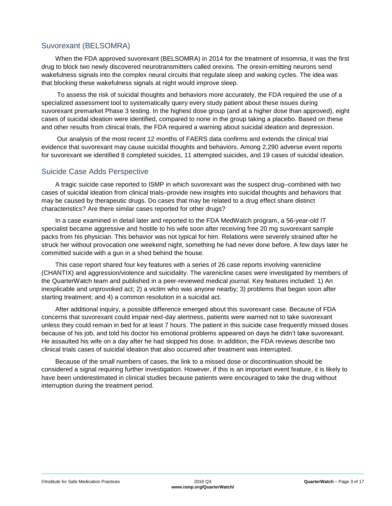#### Suvorexant (BELSOMRA)

When the FDA approved suvorexant (BELSOMRA) in 2014 for the treatment of insomnia, it was the first drug to block two newly discovered neurotransmitters called orexins. The orexin-emitting neurons send wakefulness signals into the complex neural circuits that regulate sleep and waking cycles. The idea was that blocking these wakefulness signals at night would improve sleep.

To assess the risk of suicidal thoughts and behaviors more accurately, the FDA required the use of a specialized assessment tool to systematically query every study patient about these issues during suvorexant premarket Phase 3 testing. In the highest dose group (and at a higher dose than approved), eight cases of suicidal ideation were identified, compared to none in the group taking a placebo. Based on these and other results from clinical trials, the FDA required a warning about suicidal ideation and depression.

Our analysis of the most recent 12 months of FAERS data confirms and extends the clinical trial evidence that suvorexant may cause suicidal thoughts and behaviors. Among 2,290 adverse event reports for suvorexant we identified 8 completed suicides, 11 attempted suicides, and 19 cases of suicidal ideation.

#### Suicide Case Adds Perspective

A tragic suicide case reported to ISMP in which suvorexant was the suspect drug–combined with two cases of suicidal ideation from clinical trials–provide new insights into suicidal thoughts and behaviors that may be caused by therapeutic drugs. Do cases that may be related to a drug effect share distinct characteristics? Are there similar cases reported for other drugs?

In a case examined in detail later and reported to the FDA MedWatch program, a 56-year-old IT specialist became aggressive and hostile to his wife soon after receiving free 20 mg suvorexant sample packs from his physician. This behavior was not typical for him. Relations were severely strained after he struck her without provocation one weekend night, something he had never done before. A few days later he committed suicide with a gun in a shed behind the house.

This case report shared four key features with a series of 26 case reports involving varenicline (CHANTIX) and aggression/violence and suicidality. The varenicline cases were investigated by members of the QuarterWatch team and published in a peer-reviewed medical journal. Key features included: 1) An inexplicable and unprovoked act; 2) a victim who was anyone nearby; 3) problems that began soon after starting treatment; and 4) a common resolution in a suicidal act.

After additional inquiry, a possible difference emerged about this suvorexant case. Because of FDA concerns that suvorexant could impair next-day alertness, patients were warned not to take suvorexant unless they could remain in bed for at least 7 hours. The patient in this suicide case frequently missed doses because of his job, and told his doctor his emotional problems appeared on days he didn't take suvorexant. He assaulted his wife on a day after he had skipped his dose. In addition, the FDA reviews describe two clinical trials cases of suicidal ideation that also occurred after treatment was interrupted.

<span id="page-2-0"></span>Because of the small numbers of cases, the link to a missed dose or discontinuation should be considered a signal requiring further investigation. However, if this is an important event feature, it is likely to have been underestimated in clinical studies because patients were encouraged to take the drug without interruption during the treatment period.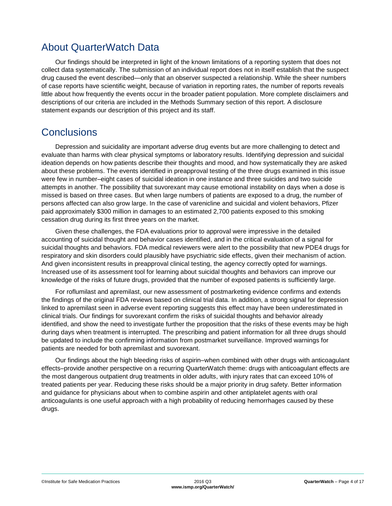### About QuarterWatch Data

Our findings should be interpreted in light of the known limitations of a reporting system that does not collect data systematically. The submission of an individual report does not in itself establish that the suspect drug caused the event described—only that an observer suspected a relationship. While the sheer numbers of case reports have scientific weight, because of variation in reporting rates, the number of reports reveals little about how frequently the events occur in the broader patient population. More complete disclaimers and descriptions of our criteria are included in the Methods Summary section of this report. A disclosure statement expands our description of this project and its staff.

### <span id="page-3-0"></span>**Conclusions**

Depression and suicidality are important adverse drug events but are more challenging to detect and evaluate than harms with clear physical symptoms or laboratory results. Identifying depression and suicidal ideation depends on how patients describe their thoughts and mood, and how systematically they are asked about these problems. The events identified in preapproval testing of the three drugs examined in this issue were few in number–eight cases of suicidal ideation in one instance and three suicides and two suicide attempts in another. The possibility that suvorexant may cause emotional instability on days when a dose is missed is based on three cases. But when large numbers of patients are exposed to a drug, the number of persons affected can also grow large. In the case of varenicline and suicidal and violent behaviors, Pfizer paid approximately \$300 million in damages to an estimated 2,700 patients exposed to this smoking cessation drug during its first three years on the market.

Given these challenges, the FDA evaluations prior to approval were impressive in the detailed accounting of suicidal thought and behavior cases identified, and in the critical evaluation of a signal for suicidal thoughts and behaviors. FDA medical reviewers were alert to the possibility that new PDE4 drugs for respiratory and skin disorders could plausibly have psychiatric side effects, given their mechanism of action. And given inconsistent results in preapproval clinical testing, the agency correctly opted for warnings. Increased use of its assessment tool for learning about suicidal thoughts and behaviors can improve our knowledge of the risks of future drugs, provided that the number of exposed patients is sufficiently large.

For roflumilast and apremilast, our new assessment of postmarketing evidence confirms and extends the findings of the original FDA reviews based on clinical trial data. In addition, a strong signal for depression linked to apremilast seen in adverse event reporting suggests this effect may have been underestimated in clinical trials. Our findings for suvorexant confirm the risks of suicidal thoughts and behavior already identified, and show the need to investigate further the proposition that the risks of these events may be high during days when treatment is interrupted. The prescribing and patient information for all three drugs should be updated to include the confirming information from postmarket surveillance. Improved warnings for patients are needed for both apremilast and suvorexant.

Our findings about the high bleeding risks of aspirin–when combined with other drugs with anticoagulant effects–provide another perspective on a recurring QuarterWatch theme: drugs with anticoagulant effects are the most dangerous outpatient drug treatments in older adults, with injury rates that can exceed 10% of treated patients per year. Reducing these risks should be a major priority in drug safety. Better information and guidance for physicians about when to combine aspirin and other antiplatelet agents with oral anticoagulants is one useful approach with a high probability of reducing hemorrhages caused by these drugs.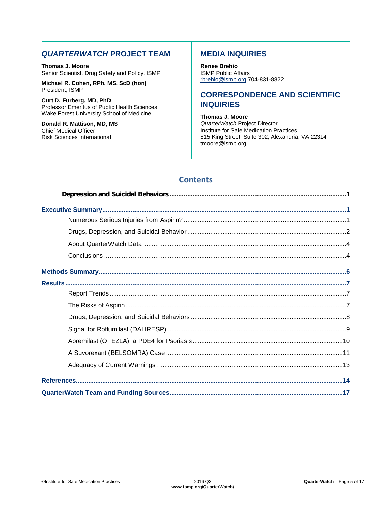#### *QUARTERWATCH* **PROJECT TEAM**

**Thomas J. Moore** Senior Scientist, Drug Safety and Policy, ISMP

**Michael R. Cohen, RPh, MS, ScD (hon)** President, ISMP

**Curt D. Furberg, MD, PhD** Professor Emeritus of Public Health Sciences, Wake Forest University School of Medicine

**Donald R. Mattison, MD, MS** Chief Medical Officer Risk Sciences International

#### **MEDIA INQUIRIES**

**Renee Brehio** ISMP Public Affairs [rbrehio@ismp.org](mailto:rbrehio@ismp.org) 704-831-8822

#### **CORRESPONDENCE AND SCIENTIFIC INQUIRIES**

**Thomas J. Moore** *QuarterWatch* Project Director Institute for Safe Medication Practices 815 King Street, Suite 302, Alexandria, VA 22314 tmoore@ismp.org

### **Contents**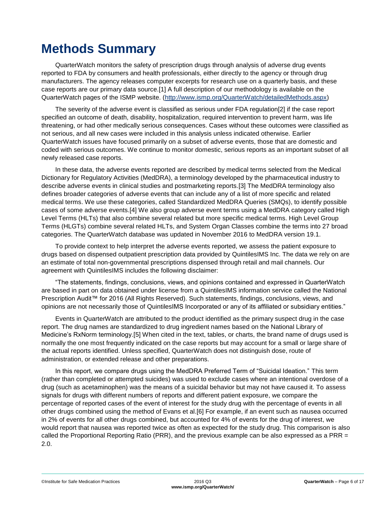# <span id="page-5-0"></span>**Methods Summary**

QuarterWatch monitors the safety of prescription drugs through analysis of adverse drug events reported to FDA by consumers and health professionals, either directly to the agency or through drug manufacturers. The agency releases computer excerpts for research use on a quarterly basis, and these case reports are our primary data source.[1] A full description of our methodology is available on the QuarterWatch pages of the ISMP website. [\(http://www.ismp.org/QuarterWatch/detailedMethods.aspx\)](http://www.ismp.org/QuarterWatch/detailedMethods.aspx)

The severity of the adverse event is classified as serious under FDA regulation[2] if the case report specified an outcome of death, disability, hospitalization, required intervention to prevent harm, was life threatening, or had other medically serious consequences. Cases without these outcomes were classified as not serious, and all new cases were included in this analysis unless indicated otherwise. Earlier QuarterWatch issues have focused primarily on a subset of adverse events, those that are domestic and coded with serious outcomes. We continue to monitor domestic, serious reports as an important subset of all newly released case reports.

In these data, the adverse events reported are described by medical terms selected from the Medical Dictionary for Regulatory Activities (MedDRA), a terminology developed by the pharmaceutical industry to describe adverse events in clinical studies and postmarketing reports.[3] The MedDRA terminology also defines broader categories of adverse events that can include any of a list of more specific and related medical terms. We use these categories, called Standardized MedDRA Queries (SMQs), to identify possible cases of some adverse events.[4] We also group adverse event terms using a MedDRA category called High Level Terms (HLTs) that also combine several related but more specific medical terms. High Level Group Terms (HLGTs) combine several related HLTs, and System Organ Classes combine the terms into 27 broad categories. The QuarterWatch database was updated in November 2016 to MedDRA version 19.1.

To provide context to help interpret the adverse events reported, we assess the patient exposure to drugs based on dispensed outpatient prescription data provided by QuintilesIMS Inc. The data we rely on are an estimate of total non-governmental prescriptions dispensed through retail and mail channels. Our agreement with QuintilesIMS includes the following disclaimer:

"The statements, findings, conclusions, views, and opinions contained and expressed in QuarterWatch are based in part on data obtained under license from a QuintilesIMS information service called the National Prescription Audit™ for 2016 (All Rights Reserved). Such statements, findings, conclusions, views, and opinions are not necessarily those of QuintilesIMS Incorporated or any of its affiliated or subsidiary entities."

Events in QuarterWatch are attributed to the product identified as the primary suspect drug in the case report. The drug names are standardized to drug ingredient names based on the National Library of Medicine's RxNorm terminology.[5] When cited in the text, tables, or charts, the brand name of drugs used is normally the one most frequently indicated on the case reports but may account for a small or large share of the actual reports identified. Unless specified, QuarterWatch does not distinguish dose, route of administration, or extended release and other preparations.

In this report, we compare drugs using the MedDRA Preferred Term of "Suicidal Ideation." This term (rather than completed or attempted suicides) was used to exclude cases where an intentional overdose of a drug (such as acetaminophen) was the means of a suicidal behavior but may not have caused it. To assess signals for drugs with different numbers of reports and different patient exposure, we compare the percentage of reported cases of the event of interest for the study drug with the percentage of events in all other drugs combined using the method of Evans et al.[6] For example, if an event such as nausea occurred in 2% of events for all other drugs combined, but accounted for 4% of events for the drug of interest, we would report that nausea was reported twice as often as expected for the study drug. This comparison is also called the Proportional Reporting Ratio (PRR), and the previous example can be also expressed as a PRR = 2.0.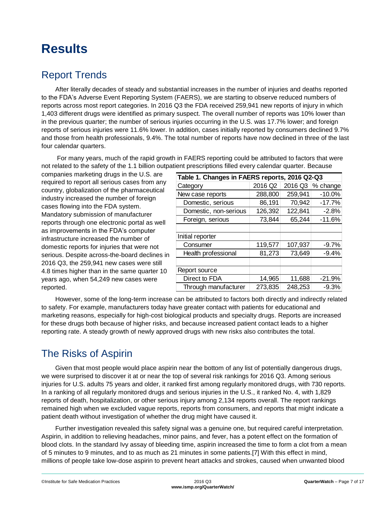# <span id="page-6-0"></span>**Results**

## <span id="page-6-1"></span>Report Trends

After literally decades of steady and substantial increases in the number of injuries and deaths reported to the FDA's Adverse Event Reporting System (FAERS), we are starting to observe reduced numbers of reports across most report categories. In 2016 Q3 the FDA received 259,941 new reports of injury in which 1,403 different drugs were identified as primary suspect. The overall number of reports was 10% lower than in the previous quarter; the number of serious injuries occurring in the U.S. was 17.7% lower; and foreign reports of serious injuries were 11.6% lower. In addition, cases initially reported by consumers declined 9.7% and those from health professionals, 9.4%. The total number of reports have now declined in three of the last four calendar quarters.

For many years, much of the rapid growth in FAERS reporting could be attributed to factors that were not related to the safety of the 1.1 billion outpatient prescriptions filled every calendar quarter. Because

| companies marketing drugs in the U.S. are                                                                                                                                                                                                                                                                                                                                                                                                                                                                                                                                                                                                                                                                                                                      | Table 1. Changes in FAERS reports, 2016 Q2-Q3 |                     |         |                  |
|----------------------------------------------------------------------------------------------------------------------------------------------------------------------------------------------------------------------------------------------------------------------------------------------------------------------------------------------------------------------------------------------------------------------------------------------------------------------------------------------------------------------------------------------------------------------------------------------------------------------------------------------------------------------------------------------------------------------------------------------------------------|-----------------------------------------------|---------------------|---------|------------------|
| required to report all serious cases from any                                                                                                                                                                                                                                                                                                                                                                                                                                                                                                                                                                                                                                                                                                                  | Category                                      | 2016 Q <sub>2</sub> |         | 2016 Q3 % change |
| country, globalization of the pharmaceutical                                                                                                                                                                                                                                                                                                                                                                                                                                                                                                                                                                                                                                                                                                                   | New case reports                              | 288,800             | 259,941 | $-10.0%$         |
| industry increased the number of foreign                                                                                                                                                                                                                                                                                                                                                                                                                                                                                                                                                                                                                                                                                                                       | Domestic, serious                             | 86,191              | 70,942  | $-17.7%$         |
| cases flowing into the FDA system.                                                                                                                                                                                                                                                                                                                                                                                                                                                                                                                                                                                                                                                                                                                             | Domestic, non-serious                         | 126,392             | 122,841 | $-2.8%$          |
| Mandatory submission of manufacturer<br>reports through one electronic portal as well                                                                                                                                                                                                                                                                                                                                                                                                                                                                                                                                                                                                                                                                          | Foreign, serious                              | 73,844              | 65,244  | $-11.6%$         |
| as improvements in the FDA's computer                                                                                                                                                                                                                                                                                                                                                                                                                                                                                                                                                                                                                                                                                                                          |                                               |                     |         |                  |
| infrastructure increased the number of                                                                                                                                                                                                                                                                                                                                                                                                                                                                                                                                                                                                                                                                                                                         | Initial reporter                              |                     |         |                  |
| domestic reports for injuries that were not                                                                                                                                                                                                                                                                                                                                                                                                                                                                                                                                                                                                                                                                                                                    | Consumer                                      | 119,577             | 107,937 | $-9.7%$          |
| serious. Despite across-the-board declines in                                                                                                                                                                                                                                                                                                                                                                                                                                                                                                                                                                                                                                                                                                                  | Health professional                           | 81,273              | 73,649  | $-9.4%$          |
| 2016 Q3, the 259,941 new cases were still                                                                                                                                                                                                                                                                                                                                                                                                                                                                                                                                                                                                                                                                                                                      |                                               |                     |         |                  |
| 4.8 times higher than in the same quarter 10                                                                                                                                                                                                                                                                                                                                                                                                                                                                                                                                                                                                                                                                                                                   | Report source                                 |                     |         |                  |
| years ago, when 54,249 new cases were                                                                                                                                                                                                                                                                                                                                                                                                                                                                                                                                                                                                                                                                                                                          | Direct to FDA                                 | 14,965              | 11,688  | $-21.9%$         |
| reported.                                                                                                                                                                                                                                                                                                                                                                                                                                                                                                                                                                                                                                                                                                                                                      | Through manufacturer                          | 273,835             | 248,253 | $-9.3%$          |
|                                                                                                                                                                                                                                                                                                                                                                                                                                                                                                                                                                                                                                                                                                                                                                |                                               |                     |         |                  |
| <b>The Risks of Aspirin</b>                                                                                                                                                                                                                                                                                                                                                                                                                                                                                                                                                                                                                                                                                                                                    |                                               |                     |         |                  |
| Given that most people would place aspirin near the bottom of any list of potentially dangerous drugs,<br>we were surprised to discover it at or near the top of several risk rankings for 2016 Q3. Among serious<br>injuries for U.S. adults 75 years and older, it ranked first among regularly monitored drugs, with 730 reports.<br>In a ranking of all regularly monitored drugs and serious injuries in the U.S., it ranked No. 4, with 1,829<br>reports of death, hospitalization, or other serious injury among 2,134 reports overall. The report rankings<br>remained high when we excluded vague reports, reports from consumers, and reports that might indicate a<br>patient death without investigation of whether the drug might have caused it. |                                               |                     |         |                  |
| Further investigation revealed this safety signal was a genuine one, but required careful interpretation.<br>Aspirin, in addition to relieving headaches, minor pains, and fever, has a potent effect on the formation of<br>blood clots. In the standard Ivy assay of bleeding time, aspirin increased the time to form a clot from a mear<br>of 5 minutes to 9 minutes, and to as much as 21 minutes in some patients.[7] With this effect in mind,                                                                                                                                                                                                                                                                                                          |                                               |                     |         |                  |

### <span id="page-6-2"></span>The Risks of Aspirin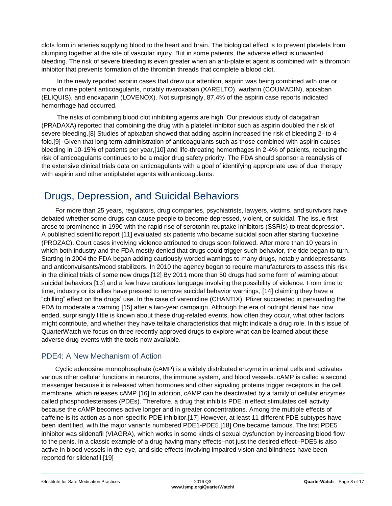clots form in arteries supplying blood to the heart and brain. The biological effect is to prevent platelets from clumping together at the site of vascular injury. But in some patients, the adverse effect is unwanted bleeding. The risk of severe bleeding is even greater when an anti-platelet agent is combined with a thrombin inhibitor that prevents formation of the thrombin threads that complete a blood clot.

In the newly reported aspirin cases that drew our attention, aspirin was being combined with one or more of nine potent anticoagulants, notably rivaroxaban (XARELTO), warfarin (COUMADIN), apixaban (ELIQUIS), and enoxaparin (LOVENOX). Not surprisingly, 87.4% of the aspirin case reports indicated hemorrhage had occurred.

The risks of combining blood clot inhibiting agents are high. Our previous study of dabigatran (PRADAXA) reported that combining the drug with a platelet inhibitor such as aspirin doubled the risk of severe bleeding.[8] Studies of apixaban showed that adding aspirin increased the risk of bleeding 2- to 4 fold.[9] Given that long-term administration of anticoagulants such as those combined with aspirin causes bleeding in 10-15% of patients per year,[10] and life-threating hemorrhages in 2-4% of patients, reducing the risk of anticoagulants continues to be a major drug safety priority. The FDA should sponsor a reanalysis of the extensive clinical trials data on anticoagulants with a goal of identifying appropriate use of dual therapy with aspirin and other antiplatelet agents with anticoagulants.

### <span id="page-7-0"></span>Drugs, Depression, and Suicidal Behaviors

For more than 25 years, regulators, drug companies, psychiatrists, lawyers, victims, and survivors have debated whether some drugs can cause people to become depressed, violent, or suicidal. The issue first arose to prominence in 1990 with the rapid rise of serotonin reuptake inhibitors (SSRIs) to treat depression. A published scientific report [11] evaluated six patients who became suicidal soon after starting fluoxetine (PROZAC). Court cases involving violence attributed to drugs soon followed. After more than 10 years in which both industry and the FDA mostly denied that drugs could trigger such behavior, the tide began to turn. Starting in 2004 the FDA began adding cautiously worded warnings to many drugs, notably antidepressants and anticonvulsants/mood stabilizers. In 2010 the agency began to require manufacturers to assess this risk in the clinical trials of some new drugs.[12] By 2011 more than 50 drugs had some form of warning about suicidal behaviors [13] and a few have cautious language involving the possibility of violence. From time to time, industry or its allies have pressed to remove suicidal behavior warnings, [14] claiming they have a "chilling" effect on the drugs' use. In the case of varenicline (CHANTIX), Pfizer succeeded in persuading the FDA to moderate a warning [15] after a two-year campaign. Although the era of outright denial has now ended, surprisingly little is known about these drug-related events, how often they occur, what other factors might contribute, and whether they have telltale characteristics that might indicate a drug role. In this issue of QuarterWatch we focus on three recently approved drugs to explore what can be learned about these adverse drug events with the tools now available.

#### PDE4: A New Mechanism of Action

Cyclic adenosine monophosphate (cAMP) is a widely distributed enzyme in animal cells and activates various other cellular functions in neurons, the immune system, and blood vessels. cAMP is called a second messenger because it is released when hormones and other signaling proteins trigger receptors in the cell membrane, which releases cAMP.[16] In addition, cAMP can be deactivated by a family of cellular enzymes called phosphodiesterases (PDEs). Therefore, a drug that inhibits PDE in effect stimulates cell activity because the cAMP becomes active longer and in greater concentrations. Among the multiple effects of caffeine is its action as a non-specific PDE inhibitor.[17] However, at least 11 different PDE subtypes have been identified, with the major variants numbered PDE1-PDE5.[18] One became famous. The first PDE5 inhibitor was sildenafil (VIAGRA), which works in some kinds of sexual dysfunction by increasing blood flow to the penis. In a classic example of a drug having many effects–not just the desired effect–PDE5 is also active in blood vessels in the eye, and side effects involving impaired vision and blindness have been reported for sildenafil.[19]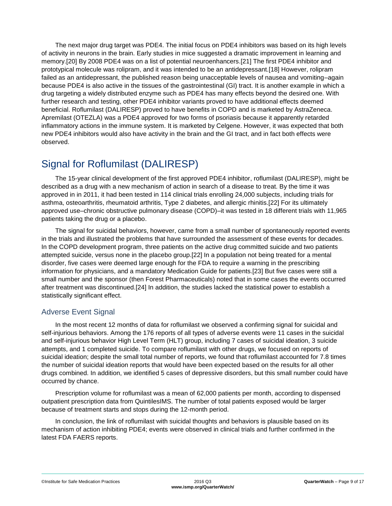The next major drug target was PDE4. The initial focus on PDE4 inhibitors was based on its high levels of activity in neurons in the brain. Early studies in mice suggested a dramatic improvement in learning and memory.[20] By 2008 PDE4 was on a list of potential neuroenhancers.[21] The first PDE4 inhibitor and prototypical molecule was rolipram, and it was intended to be an antidepressant.[18] However, rolipram failed as an antidepressant, the published reason being unacceptable levels of nausea and vomiting–again because PDE4 is also active in the tissues of the gastrointestinal (GI) tract. It is another example in which a drug targeting a widely distributed enzyme such as PDE4 has many effects beyond the desired one. With further research and testing, other PDE4 inhibitor variants proved to have additional effects deemed beneficial. Roflumilast (DALIRESP) proved to have benefits in COPD and is marketed by AstraZeneca. Apremilast (OTEZLA) was a PDE4 approved for two forms of psoriasis because it apparently retarded inflammatory actions in the immune system. It is marketed by Celgene. However, it was expected that both new PDE4 inhibitors would also have activity in the brain and the GI tract, and in fact both effects were observed.

### <span id="page-8-0"></span>Signal for Roflumilast (DALIRESP)

The 15-year clinical development of the first approved PDE4 inhibitor, roflumilast (DALIRESP), might be described as a drug with a new mechanism of action in search of a disease to treat. By the time it was approved in in 2011, it had been tested in 114 clinical trials enrolling 24,000 subjects, including trials for asthma, osteoarthritis, rheumatoid arthritis, Type 2 diabetes, and allergic rhinitis.[22] For its ultimately approved use–chronic obstructive pulmonary disease (COPD)–it was tested in 18 different trials with 11,965 patients taking the drug or a placebo.

The signal for suicidal behaviors, however, came from a small number of spontaneously reported events in the trials and illustrated the problems that have surrounded the assessment of these events for decades. In the COPD development program, three patients on the active drug committed suicide and two patients attempted suicide, versus none in the placebo group.[22] In a population not being treated for a mental disorder, five cases were deemed large enough for the FDA to require a warning in the prescribing information for physicians, and a mandatory Medication Guide for patients.[23] But five cases were still a small number and the sponsor (then Forest Pharmaceuticals) noted that in some cases the events occurred after treatment was discontinued.[24] In addition, the studies lacked the statistical power to establish a statistically significant effect.

#### Adverse Event Signal

In the most recent 12 months of data for roflumilast we observed a confirming signal for suicidal and self-injurious behaviors. Among the 176 reports of all types of adverse events were 11 cases in the suicidal and self-injurious behavior High Level Term (HLT) group, including 7 cases of suicidal ideation, 3 suicide attempts, and 1 completed suicide. To compare roflumilast with other drugs, we focused on reports of suicidal ideation; despite the small total number of reports, we found that roflumilast accounted for 7.8 times the number of suicidal ideation reports that would have been expected based on the results for all other drugs combined. In addition, we identified 5 cases of depressive disorders, but this small number could have occurred by chance.

Prescription volume for roflumilast was a mean of 62,000 patients per month, according to dispensed outpatient prescription data from QuintilesIMS. The number of total patients exposed would be larger because of treatment starts and stops during the 12-month period.

In conclusion, the link of roflumilast with suicidal thoughts and behaviors is plausible based on its mechanism of action inhibiting PDE4; events were observed in clinical trials and further confirmed in the latest FDA FAERS reports.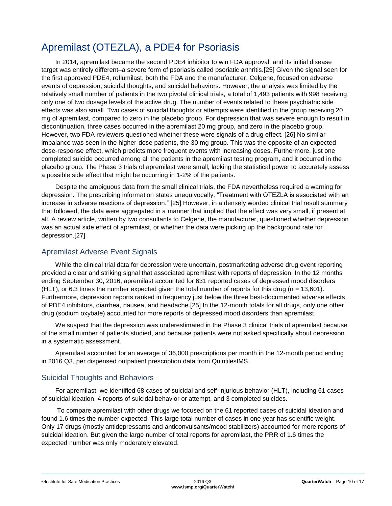## <span id="page-9-0"></span>Apremilast (OTEZLA), a PDE4 for Psoriasis

In 2014, apremilast became the second PDE4 inhibitor to win FDA approval, and its initial disease target was entirely different–a severe form of psoriasis called psoriatic arthritis.[25] Given the signal seen for the first approved PDE4, roflumilast, both the FDA and the manufacturer, Celgene, focused on adverse events of depression, suicidal thoughts, and suicidal behaviors. However, the analysis was limited by the relatively small number of patients in the two pivotal clinical trials, a total of 1,493 patients with 998 receiving only one of two dosage levels of the active drug. The number of events related to these psychiatric side effects was also small. Two cases of suicidal thoughts or attempts were identified in the group receiving 20 mg of apremilast, compared to zero in the placebo group. For depression that was severe enough to result in discontinuation, three cases occurred in the apremilast 20 mg group, and zero in the placebo group. However, two FDA reviewers questioned whether these were signals of a drug effect. [26] No similar imbalance was seen in the higher-dose patients, the 30 mg group. This was the opposite of an expected dose-response effect, which predicts more frequent events with increasing doses. Furthermore, just one completed suicide occurred among all the patients in the apremilast testing program, and it occurred in the placebo group. The Phase 3 trials of apremilast were small, lacking the statistical power to accurately assess a possible side effect that might be occurring in 1-2% of the patients.

Despite the ambiguous data from the small clinical trials, the FDA nevertheless required a warning for depression. The prescribing information states unequivocally, "Treatment with OTEZLA is associated with an increase in adverse reactions of depression." [25] However, in a densely worded clinical trial result summary that followed, the data were aggregated in a manner that implied that the effect was very small, if present at all. A review article, written by two consultants to Celgene, the manufacturer, questioned whether depression was an actual side effect of apremilast, or whether the data were picking up the background rate for depression.[27]

#### Apremilast Adverse Event Signals

While the clinical trial data for depression were uncertain, postmarketing adverse drug event reporting provided a clear and striking signal that associated apremilast with reports of depression. In the 12 months ending September 30, 2016, apremilast accounted for 631 reported cases of depressed mood disorders  $(HLT)$ , or 6.3 times the number expected given the total number of reports for this drug (n = 13,601). Furthermore, depression reports ranked in frequency just below the three best-documented adverse effects of PDE4 inhibitors, diarrhea, nausea, and headache.[25] In the 12-month totals for all drugs, only one other drug (sodium oxybate) accounted for more reports of depressed mood disorders than apremilast.

We suspect that the depression was underestimated in the Phase 3 clinical trials of apremilast because of the small number of patients studied, and because patients were not asked specifically about depression in a systematic assessment.

Apremilast accounted for an average of 36,000 prescriptions per month in the 12-month period ending in 2016 Q3, per dispensed outpatient prescription data from QuintilesIMS.

#### Suicidal Thoughts and Behaviors

For apremilast, we identified 68 cases of suicidal and self-injurious behavior (HLT), including 61 cases of suicidal ideation, 4 reports of suicidal behavior or attempt, and 3 completed suicides.

To compare apremilast with other drugs we focused on the 61 reported cases of suicidal ideation and found 1.6 times the number expected. This large total number of cases in one year has scientific weight. Only 17 drugs (mostly antidepressants and anticonvulsants/mood stabilizers) accounted for more reports of suicidal ideation. But given the large number of total reports for apremilast, the PRR of 1.6 times the expected number was only moderately elevated.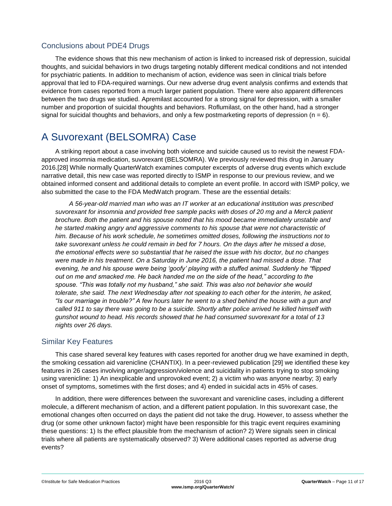#### Conclusions about PDE4 Drugs

The evidence shows that this new mechanism of action is linked to increased risk of depression, suicidal thoughts, and suicidal behaviors in two drugs targeting notably different medical conditions and not intended for psychiatric patients. In addition to mechanism of action, evidence was seen in clinical trials before approval that led to FDA-required warnings. Our new adverse drug event analysis confirms and extends that evidence from cases reported from a much larger patient population. There were also apparent differences between the two drugs we studied. Apremilast accounted for a strong signal for depression, with a smaller number and proportion of suicidal thoughts and behaviors. Roflumilast, on the other hand, had a stronger signal for suicidal thoughts and behaviors, and only a few postmarketing reports of depression ( $n = 6$ ).

### <span id="page-10-0"></span>A Suvorexant (BELSOMRA) Case

A striking report about a case involving both violence and suicide caused us to revisit the newest FDAapproved insomnia medication, suvorexant (BELSOMRA). We previously reviewed this drug in January 2016.[28] While normally QuarterWatch examines computer excerpts of adverse drug events which exclude narrative detail, this new case was reported directly to ISMP in response to our previous review, and we obtained informed consent and additional details to complete an event profile. In accord with ISMP policy, we also submitted the case to the FDA MedWatch program. These are the essential details:

*A 56-year-old married man who was an IT worker at an educational institution was prescribed suvorexant for insomnia and provided free sample packs with doses of 20 mg and a Merck patient brochure. Both the patient and his spouse noted that his mood became immediately unstable and he started making angry and aggressive comments to his spouse that were not characteristic of him. Because of his work schedule, he sometimes omitted doses, following the instructions not to take suvorexant unless he could remain in bed for 7 hours. On the days after he missed a dose, the emotional effects were so substantial that he raised the issue with his doctor, but no changes were made in his treatment. On a Saturday in June 2016, the patient had missed a dose. That evening, he and his spouse were being 'goofy' playing with a stuffed animal. Suddenly he "flipped out on me and smacked me. He back handed me on the side of the head," according to the spouse. "This was totally not my husband," she said. This was also not behavior she would tolerate, she said. The next Wednesday after not speaking to each other for the interim, he asked, "Is our marriage in trouble?" A few hours later he went to a shed behind the house with a gun and called 911 to say there was going to be a suicide. Shortly after police arrived he killed himself with gunshot wound to head. His records showed that he had consumed suvorexant for a total of 13 nights over 26 days.*

#### Similar Key Features

This case shared several key features with cases reported for another drug we have examined in depth, the smoking cessation aid varenicline (CHANTIX). In a peer-reviewed publication [29] we identified these key features in 26 cases involving anger/aggression/violence and suicidality in patients trying to stop smoking using varenicline: 1) An inexplicable and unprovoked event; 2) a victim who was anyone nearby; 3) early onset of symptoms, sometimes with the first doses; and 4) ended in suicidal acts in 45% of cases.

In addition, there were differences between the suvorexant and varenicline cases, including a different molecule, a different mechanism of action, and a different patient population. In this suvorexant case, the emotional changes often occurred on days the patient did not take the drug. However, to assess whether the drug (or some other unknown factor) might have been responsible for this tragic event requires examining these questions: 1) Is the effect plausible from the mechanism of action? 2) Were signals seen in clinical trials where all patients are systematically observed? 3) Were additional cases reported as adverse drug events?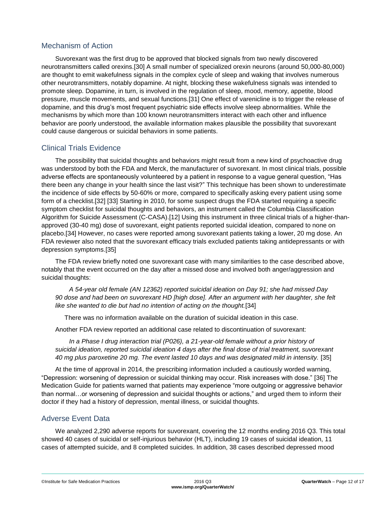#### Mechanism of Action

Suvorexant was the first drug to be approved that blocked signals from two newly discovered neurotransmitters called orexins.[30] A small number of specialized orexin neurons (around 50,000-80,000) are thought to emit wakefulness signals in the complex cycle of sleep and waking that involves numerous other neurotransmitters, notably dopamine. At night, blocking these wakefulness signals was intended to promote sleep. Dopamine, in turn, is involved in the regulation of sleep, mood, memory, appetite, blood pressure, muscle movements, and sexual functions.[31] One effect of varenicline is to trigger the release of dopamine, and this drug's most frequent psychiatric side effects involve sleep abnormalities. While the mechanisms by which more than 100 known neurotransmitters interact with each other and influence behavior are poorly understood, the available information makes plausible the possibility that suvorexant could cause dangerous or suicidal behaviors in some patients.

#### Clinical Trials Evidence

The possibility that suicidal thoughts and behaviors might result from a new kind of psychoactive drug was understood by both the FDA and Merck, the manufacturer of suvorexant. In most clinical trials, possible adverse effects are spontaneously volunteered by a patient in response to a vague general question, "Has there been any change in your health since the last visit?" This technique has been shown to underestimate the incidence of side effects by 50-60% or more, compared to specifically asking every patient using some form of a checklist.[32] [33] Starting in 2010, for some suspect drugs the FDA started requiring a specific symptom checklist for suicidal thoughts and behaviors, an instrument called the Columbia Classification Algorithm for Suicide Assessment (C-CASA).[12] Using this instrument in three clinical trials of a higher-thanapproved (30-40 mg) dose of suvorexant, eight patients reported suicidal ideation, compared to none on placebo.[34] However, no cases were reported among suvorexant patients taking a lower, 20 mg dose. An FDA reviewer also noted that the suvorexant efficacy trials excluded patients taking antidepressants or with depression symptoms.[35]

The FDA review briefly noted one suvorexant case with many similarities to the case described above, notably that the event occurred on the day after a missed dose and involved both anger/aggression and suicidal thoughts:

*A 54-year old female (AN 12362) reported suicidal ideation on Day 91; she had missed Day 90 dose and had been on suvorexant HD [high dose]. After an argument with her daughter, she felt like she wanted to die but had no intention of acting on the thought.*[34]

There was no information available on the duration of suicidal ideation in this case.

Another FDA review reported an additional case related to discontinuation of suvorexant:

*In a Phase I drug interaction trial (P026), a 21-year-old female without a prior history of suicidal ideation, reported suicidal ideation 4 days after the final dose of trial treatment, suvorexant 40 mg plus paroxetine 20 mg. The event lasted 10 days and was designated mild in intensity.* [35]

At the time of approval in 2014, the prescribing information included a cautiously worded warning, "Depression: worsening of depression or suicidal thinking may occur. Risk increases with dose." [36] The Medication Guide for patients warned that patients may experience "more outgoing or aggressive behavior than normal…or worsening of depression and suicidal thoughts or actions," and urged them to inform their doctor if they had a history of depression, mental illness, or suicidal thoughts.

#### Adverse Event Data

We analyzed 2,290 adverse reports for suvorexant, covering the 12 months ending 2016 Q3. This total showed 40 cases of suicidal or self-injurious behavior (HLT), including 19 cases of suicidal ideation, 11 cases of attempted suicide, and 8 completed suicides. In addition, 38 cases described depressed mood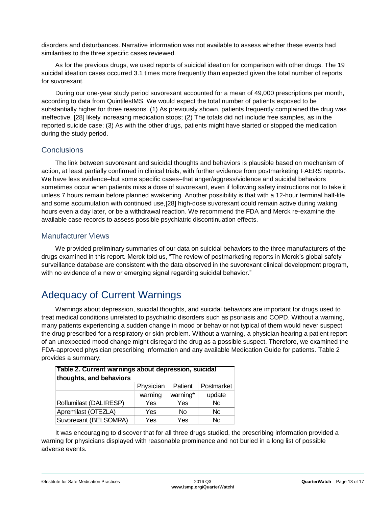disorders and disturbances. Narrative information was not available to assess whether these events had similarities to the three specific cases reviewed.

As for the previous drugs, we used reports of suicidal ideation for comparison with other drugs. The 19 suicidal ideation cases occurred 3.1 times more frequently than expected given the total number of reports for suvorexant.

During our one-year study period suvorexant accounted for a mean of 49,000 prescriptions per month, according to data from QuintilesIMS. We would expect the total number of patients exposed to be substantially higher for three reasons. (1) As previously shown, patients frequently complained the drug was ineffective, [28] likely increasing medication stops; (2) The totals did not include free samples, as in the reported suicide case; (3) As with the other drugs, patients might have started or stopped the medication during the study period.

#### **Conclusions**

The link between suvorexant and suicidal thoughts and behaviors is plausible based on mechanism of action, at least partially confirmed in clinical trials, with further evidence from postmarketing FAERS reports. We have less evidence–but some specific cases–that anger/aggress/violence and suicidal behaviors sometimes occur when patients miss a dose of suvorexant, even if following safety instructions not to take it unless 7 hours remain before planned awakening. Another possibility is that with a 12-hour terminal half-life and some accumulation with continued use,[28] high-dose suvorexant could remain active during waking hours even a day later, or be a withdrawal reaction. We recommend the FDA and Merck re-examine the available case records to assess possible psychiatric discontinuation effects.

#### Manufacturer Views

We provided preliminary summaries of our data on suicidal behaviors to the three manufacturers of the drugs examined in this report. Merck told us, "The review of postmarketing reports in Merck's global safety surveillance database are consistent with the data observed in the suvorexant clinical development program, with no evidence of a new or emerging signal regarding suicidal behavior."

## <span id="page-12-0"></span>Adequacy of Current Warnings

Warnings about depression, suicidal thoughts, and suicidal behaviors are important for drugs used to treat medical conditions unrelated to psychiatric disorders such as psoriasis and COPD. Without a warning, many patients experiencing a sudden change in mood or behavior not typical of them would never suspect the drug prescribed for a respiratory or skin problem. Without a warning, a physician hearing a patient report of an unexpected mood change might disregard the drug as a possible suspect. Therefore, we examined the FDA-approved physician prescribing information and any available Medication Guide for patients. Table 2 provides a summary:

| Table 2. Current warnings about depression, suicidal<br>thoughts, and behaviors |           |           |            |  |  |  |
|---------------------------------------------------------------------------------|-----------|-----------|------------|--|--|--|
|                                                                                 | Physician | Patient   | Postmarket |  |  |  |
|                                                                                 | warning   | warning*  | update     |  |  |  |
| Roflumilast (DALIRESP)                                                          | Yes       | Yes       | No         |  |  |  |
| Apremilast (OTEZLA)                                                             | Yes       | <b>No</b> | No         |  |  |  |
| Suvorexant (BELSOMRA)                                                           | Yes       | Yes       | Nο         |  |  |  |

It was encouraging to discover that for all three drugs studied, the prescribing information provided a warning for physicians displayed with reasonable prominence and not buried in a long list of possible adverse events.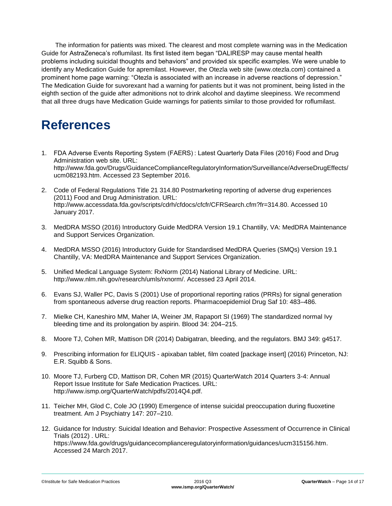The information for patients was mixed. The clearest and most complete warning was in the Medication Guide for AstraZeneca's roflumilast. Its first listed item began "DALIRESP may cause mental health problems including suicidal thoughts and behaviors" and provided six specific examples. We were unable to identify any Medication Guide for apremilast. However, the Otezla web site (www.otezla.com) contained a prominent home page warning: "Otezla is associated with an increase in adverse reactions of depression." The Medication Guide for suvorexant had a warning for patients but it was not prominent, being listed in the eighth section of the guide after admonitions not to drink alcohol and daytime sleepiness. We recommend that all three drugs have Medication Guide warnings for patients similar to those provided for roflumilast.

# <span id="page-13-0"></span>**References**

- 1. FDA Adverse Events Reporting System (FAERS) : Latest Quarterly Data Files (2016) Food and Drug Administration web site. URL: http://www.fda.gov/Drugs/GuidanceComplianceRegulatoryInformation/Surveillance/AdverseDrugEffects/ ucm082193.htm. Accessed 23 September 2016.
- 2. Code of Federal Regulations Title 21 314.80 Postmarketing reporting of adverse drug experiences (2011) Food and Drug Administration. URL: http://www.accessdata.fda.gov/scripts/cdrh/cfdocs/cfcfr/CFRSearch.cfm?fr=314.80. Accessed 10 January 2017.
- 3. MedDRA MSSO (2016) Introductory Guide MedDRA Version 19.1 Chantilly, VA: MedDRA Maintenance and Support Services Organization.
- 4. MedDRA MSSO (2016) Introductory Guide for Standardised MedDRA Queries (SMQs) Version 19.1 Chantilly, VA: MedDRA Maintenance and Support Services Organization.
- 5. Unified Medical Language System: RxNorm (2014) National Library of Medicine. URL: http://www.nlm.nih.gov/research/umls/rxnorm/. Accessed 23 April 2014.
- 6. Evans SJ, Waller PC, Davis S (2001) Use of proportional reporting ratios (PRRs) for signal generation from spontaneous adverse drug reaction reports. Pharmacoepidemiol Drug Saf 10: 483–486.
- 7. Mielke CH, Kaneshiro MM, Maher IA, Weiner JM, Rapaport SI (1969) The standardized normal Ivy bleeding time and its prolongation by aspirin. Blood 34: 204–215.
- 8. Moore TJ, Cohen MR, Mattison DR (2014) Dabigatran, bleeding, and the regulators. BMJ 349: g4517.
- 9. Prescribing information for ELIQUIS apixaban tablet, film coated [package insert] (2016) Princeton, NJ: E.R. Squibb & Sons.
- 10. Moore TJ, Furberg CD, Mattison DR, Cohen MR (2015) QuarterWatch 2014 Quarters 3-4: Annual Report Issue Institute for Safe Medication Practices. URL: http://www.ismp.org/QuarterWatch/pdfs/2014Q4.pdf.
- 11. Teicher MH, Glod C, Cole JO (1990) Emergence of intense suicidal preoccupation during fluoxetine treatment. Am J Psychiatry 147: 207–210.
- 12. Guidance for Industry: Suicidal Ideation and Behavior: Prospective Assessment of Occurrence in Clinical Trials (2012) . URL: https://www.fda.gov/drugs/guidancecomplianceregulatoryinformation/guidances/ucm315156.htm. Accessed 24 March 2017.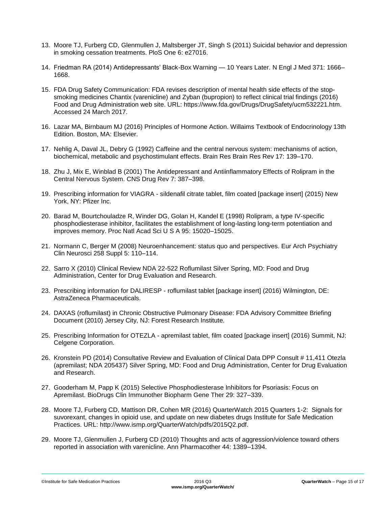- 13. Moore TJ, Furberg CD, Glenmullen J, Maltsberger JT, Singh S (2011) Suicidal behavior and depression in smoking cessation treatments. PloS One 6: e27016.
- 14. Friedman RA (2014) Antidepressants' Black-Box Warning 10 Years Later. N Engl J Med 371: 1666– 1668.
- 15. FDA Drug Safety Communication: FDA revises description of mental health side effects of the stopsmoking medicines Chantix (varenicline) and Zyban (bupropion) to reflect clinical trial findings (2016) Food and Drug Administration web site. URL: https://www.fda.gov/Drugs/DrugSafety/ucm532221.htm. Accessed 24 March 2017.
- 16. Lazar MA, Birnbaum MJ (2016) Principles of Hormone Action. Willaims Textbook of Endocrinology 13th Edition. Boston, MA: Elsevier.
- 17. Nehlig A, Daval JL, Debry G (1992) Caffeine and the central nervous system: mechanisms of action, biochemical, metabolic and psychostimulant effects. Brain Res Brain Res Rev 17: 139–170.
- 18. Zhu J, Mix E, Winblad B (2001) The Antidepressant and Antiinflammatory Effects of Rolipram in the Central Nervous System. CNS Drug Rev 7: 387–398.
- 19. Prescribing information for VIAGRA sildenafil citrate tablet, film coated [package insert] (2015) New York, NY: Pfizer Inc.
- 20. Barad M, Bourtchouladze R, Winder DG, Golan H, Kandel E (1998) Rolipram, a type IV-specific phosphodiesterase inhibitor, facilitates the establishment of long-lasting long-term potentiation and improves memory. Proc Natl Acad Sci U S A 95: 15020–15025.
- 21. Normann C, Berger M (2008) Neuroenhancement: status quo and perspectives. Eur Arch Psychiatry Clin Neurosci 258 Suppl 5: 110–114.
- 22. Sarro X (2010) Clinical Review NDA 22-522 Roflumilast Silver Spring, MD: Food and Drug Administration, Center for Drug Evaluation and Research.
- 23. Prescribing information for DALIRESP roflumilast tablet [package insert] (2016) Wilmington, DE: AstraZeneca Pharmaceuticals.
- 24. DAXAS (roflumilast) in Chronic Obstructive Pulmonary Disease: FDA Advisory Committee Briefing Document (2010) Jersey City, NJ: Forest Research Institute.
- 25. Prescribing Information for OTEZLA apremilast tablet, film coated [package insert] (2016) Summit, NJ: Celgene Corporation.
- 26. Kronstein PD (2014) Consultative Review and Evaluation of Clinical Data DPP Consult # 11,411 Otezla (apremilast; NDA 205437) Silver Spring, MD: Food and Drug Administration, Center for Drug Evaluation and Research.
- 27. Gooderham M, Papp K (2015) Selective Phosphodiesterase Inhibitors for Psoriasis: Focus on Apremilast. BioDrugs Clin Immunother Biopharm Gene Ther 29: 327–339.
- 28. Moore TJ, Furberg CD, Mattison DR, Cohen MR (2016) QuarterWatch 2015 Quarters 1-2: Signals for suvorexant, changes in opioid use, and update on new diabetes drugs Institute for Safe Medication Practices. URL: http://www.ismp.org/QuarterWatch/pdfs/2015Q2.pdf.
- 29. Moore TJ, Glenmullen J, Furberg CD (2010) Thoughts and acts of aggression/violence toward others reported in association with varenicline. Ann Pharmacother 44: 1389–1394.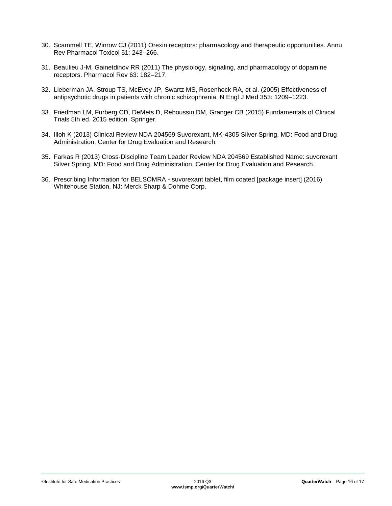- 30. Scammell TE, Winrow CJ (2011) Orexin receptors: pharmacology and therapeutic opportunities. Annu Rev Pharmacol Toxicol 51: 243–266.
- 31. Beaulieu J-M, Gainetdinov RR (2011) The physiology, signaling, and pharmacology of dopamine receptors. Pharmacol Rev 63: 182–217.
- 32. Lieberman JA, Stroup TS, McEvoy JP, Swartz MS, Rosenheck RA, et al. (2005) Effectiveness of antipsychotic drugs in patients with chronic schizophrenia. N Engl J Med 353: 1209–1223.
- 33. Friedman LM, Furberg CD, DeMets D, Reboussin DM, Granger CB (2015) Fundamentals of Clinical Trials 5th ed. 2015 edition. Springer.
- 34. Illoh K (2013) Clinical Review NDA 204569 Suvorexant, MK-4305 Silver Spring, MD: Food and Drug Administration, Center for Drug Evaluation and Research.
- 35. Farkas R (2013) Cross-Discipline Team Leader Review NDA 204569 Established Name: suvorexant Silver Spring, MD: Food and Drug Administration, Center for Drug Evaluation and Research.
- 36. Prescribing Information for BELSOMRA suvorexant tablet, film coated [package insert] (2016) Whitehouse Station, NJ: Merck Sharp & Dohme Corp.